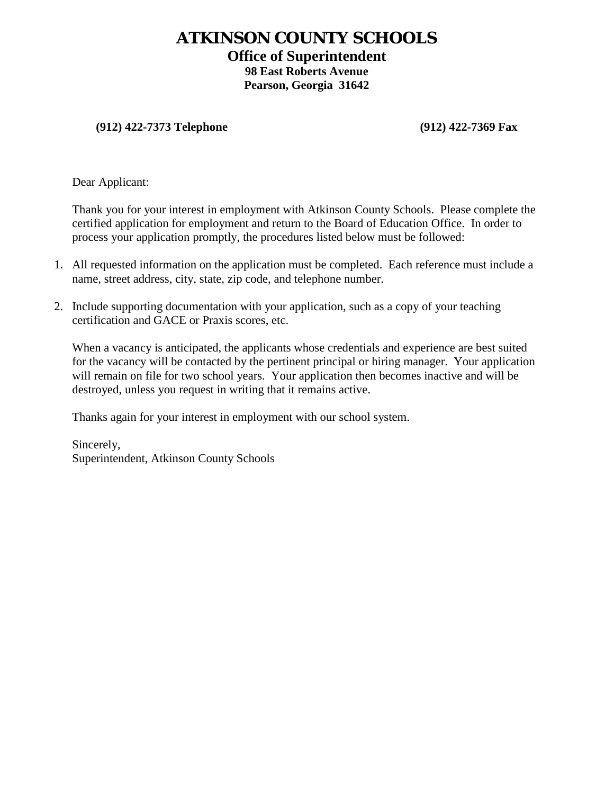# **ATKINSON COUNTY SCHOOLS**

## **Office of Superintendent**

**98 East Roberts Avenue Pearson, Georgia 31642**

### **(912) 422-7373 Telephone (912) 422-7369 Fax**

Dear Applicant:

Thank you for your interest in employment with Atkinson County Schools. Please complete the certified application for employment and return to the Board of Education Office. In order to process your application promptly, the procedures listed below must be followed:

- 1. All requested information on the application must be completed. Each reference must include a name, street address, city, state, zip code, and telephone number.
- 2. Include supporting documentation with your application, such as a copy of your teaching certification and GACE or Praxis scores, etc.

When a vacancy is anticipated, the applicants whose credentials and experience are best suited for the vacancy will be contacted by the pertinent principal or hiring manager. Your application will remain on file for two school years. Your application then becomes inactive and will be destroyed, unless you request in writing that it remains active.

Thanks again for your interest in employment with our school system.

Sincerely, Superintendent, Atkinson County Schools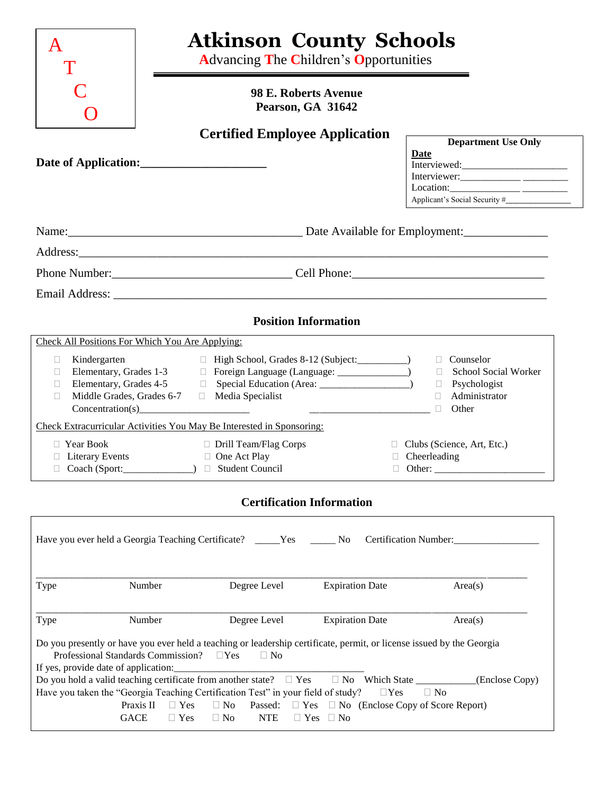| A                                                                              | <b>Atkinson County Schools</b><br><b>Advancing The Children's Opportunities</b> |                                                                                                                                                                                                                                                                                                                                                                                                                                                                                                                                                                                                                                                                                                                                                                                                                                                                                                                                                                                                                                 |
|--------------------------------------------------------------------------------|---------------------------------------------------------------------------------|---------------------------------------------------------------------------------------------------------------------------------------------------------------------------------------------------------------------------------------------------------------------------------------------------------------------------------------------------------------------------------------------------------------------------------------------------------------------------------------------------------------------------------------------------------------------------------------------------------------------------------------------------------------------------------------------------------------------------------------------------------------------------------------------------------------------------------------------------------------------------------------------------------------------------------------------------------------------------------------------------------------------------------|
|                                                                                | 98 E. Roberts Avenue<br>Pearson, GA 31642                                       |                                                                                                                                                                                                                                                                                                                                                                                                                                                                                                                                                                                                                                                                                                                                                                                                                                                                                                                                                                                                                                 |
| Date of Application:                                                           | <b>Certified Employee Application</b>                                           | <b>Department Use Only</b><br><b>Date</b><br>Interviewer: $\frac{1}{\sqrt{1-\frac{1}{2}}}\frac{1}{\sqrt{1-\frac{1}{2}}\sqrt{1-\frac{1}{2}}\sqrt{1-\frac{1}{2}}\sqrt{1-\frac{1}{2}}\sqrt{1-\frac{1}{2}}\sqrt{1-\frac{1}{2}}\sqrt{1-\frac{1}{2}}\sqrt{1-\frac{1}{2}}\sqrt{1-\frac{1}{2}}\sqrt{1-\frac{1}{2}}\sqrt{1-\frac{1}{2}}\sqrt{1-\frac{1}{2}}\sqrt{1-\frac{1}{2}}\sqrt{1-\frac{1}{2}}\sqrt{1-\frac{1}{2}}\sqrt{1-\frac{1}{2}}\sqrt{1-\frac{1}{2}}$<br>$\text{Location:}\n \underline{\hspace{2cm}}\n \underline{\hspace{2cm}}\n \underline{\hspace{2cm}}\n \underline{\hspace{2cm}}\n \underline{\hspace{2cm}}\n \underline{\hspace{2cm}}\n \underline{\hspace{2cm}}\n \underline{\hspace{2cm}}\n \underline{\hspace{2cm}}\n \underline{\hspace{2cm}}\n \underline{\hspace{2cm}}\n \underline{\hspace{2cm}}\n \underline{\hspace{2cm}}\n \underline{\hspace{2cm}}\n \underline{\hspace{2cm}}\n \underline{\hspace{2cm}}\n \underline{\hspace{2cm}}\n \underline{\hspace{2cm}}\n \underline{\hspace{2cm}}\n \underline{\hs$ |
|                                                                                |                                                                                 |                                                                                                                                                                                                                                                                                                                                                                                                                                                                                                                                                                                                                                                                                                                                                                                                                                                                                                                                                                                                                                 |
|                                                                                |                                                                                 |                                                                                                                                                                                                                                                                                                                                                                                                                                                                                                                                                                                                                                                                                                                                                                                                                                                                                                                                                                                                                                 |
|                                                                                | <b>Position Information</b>                                                     |                                                                                                                                                                                                                                                                                                                                                                                                                                                                                                                                                                                                                                                                                                                                                                                                                                                                                                                                                                                                                                 |
| Check All Positions For Which You Are Applying:                                |                                                                                 |                                                                                                                                                                                                                                                                                                                                                                                                                                                                                                                                                                                                                                                                                                                                                                                                                                                                                                                                                                                                                                 |
| $\Box$<br>П.<br>П.<br>Middle Grades, Grades 6-7 <b>D</b> Media Specialist<br>П | □ High School, Grades 8-12 (Subject: __________)                                | $\Box$ Counselor<br>□ School Social Worker<br>$\Box$ Psychologist<br>Administrator<br>Other<br>$\Box$                                                                                                                                                                                                                                                                                                                                                                                                                                                                                                                                                                                                                                                                                                                                                                                                                                                                                                                           |
| Check Extracurricular Activities You May Be Interested in Sponsoring:          |                                                                                 |                                                                                                                                                                                                                                                                                                                                                                                                                                                                                                                                                                                                                                                                                                                                                                                                                                                                                                                                                                                                                                 |
| $\Box$ Year Book<br>$\Box$ Literary Events<br>$\Box$ Coach (Sport:             | Drill Team/Flag Corps<br>□ One Act Play<br>Student Council                      | $\Box$ Clubs (Science, Art, Etc.)<br>$\Box$ Cheerleading<br>$\Box$ Other:                                                                                                                                                                                                                                                                                                                                                                                                                                                                                                                                                                                                                                                                                                                                                                                                                                                                                                                                                       |

## **Certification Information**

|                                                                                                                                                                                                                             | Have you ever held a Georgia Teaching Certificate? _____Yes _______No                                                       |                         | Certification Number:                                                                                                           |                |  |
|-----------------------------------------------------------------------------------------------------------------------------------------------------------------------------------------------------------------------------|-----------------------------------------------------------------------------------------------------------------------------|-------------------------|---------------------------------------------------------------------------------------------------------------------------------|----------------|--|
| Type                                                                                                                                                                                                                        | Number                                                                                                                      | Degree Level            | <b>Expiration Date</b>                                                                                                          | Area(s)        |  |
| Type                                                                                                                                                                                                                        | Number                                                                                                                      | Degree Level            | <b>Expiration Date</b>                                                                                                          | Area(s)        |  |
| Do you presently or have you ever held a teaching or leadership certificate, permit, or license issued by the Georgia<br>Professional Standards Commission? $\Box$ Yes<br>$\Box$ No<br>If yes, provide date of application: |                                                                                                                             |                         |                                                                                                                                 |                |  |
|                                                                                                                                                                                                                             |                                                                                                                             |                         | Do you hold a valid teaching certificate from another state? $\Box$ Yes $\Box$ No Which State                                   | (Enclose Copy) |  |
|                                                                                                                                                                                                                             | Have you taken the "Georgia Teaching Certification Test" in your field of study? $\square$ Yes<br><b>GACE</b><br>$\Box$ Yes | <b>NTE</b><br>$\Box$ No | $\Box$ No<br>Praxis II $\Box$ Yes $\Box$ No Passed: $\Box$ Yes $\Box$ No (Enclose Copy of Score Report)<br>$\Box$ Yes $\Box$ No |                |  |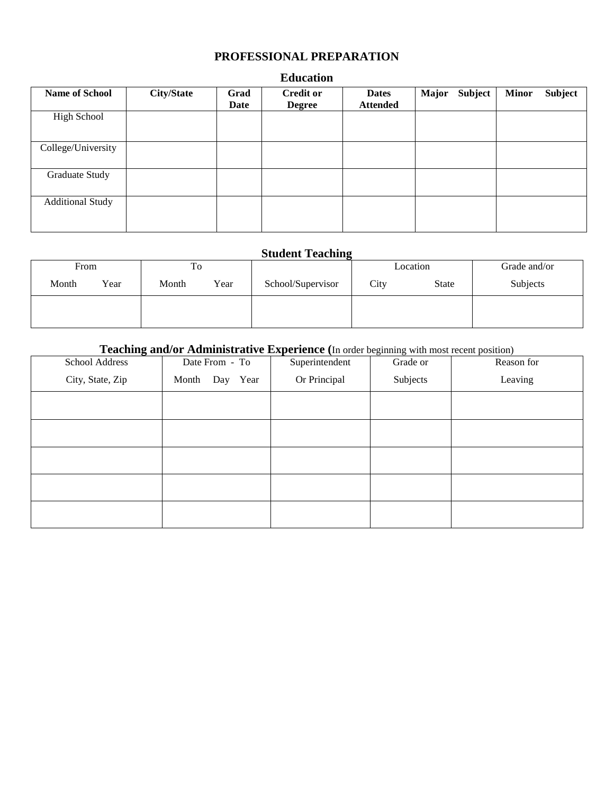## **PROFESSIONAL PREPARATION**

| <b>Name of School</b>   | <b>City/State</b> | Grad<br>Date | <b>Credit or</b><br><b>Degree</b> | <b>Dates</b><br><b>Attended</b> | <b>Major</b> | <b>Subject</b> | <b>Minor</b> | <b>Subject</b> |
|-------------------------|-------------------|--------------|-----------------------------------|---------------------------------|--------------|----------------|--------------|----------------|
| <b>High School</b>      |                   |              |                                   |                                 |              |                |              |                |
| College/University      |                   |              |                                   |                                 |              |                |              |                |
| Graduate Study          |                   |              |                                   |                                 |              |                |              |                |
| <b>Additional Study</b> |                   |              |                                   |                                 |              |                |              |                |

#### **Education**

## **Student Teaching**

| From  |      | To    |      |                   |      | Location     | Grade and/or |
|-------|------|-------|------|-------------------|------|--------------|--------------|
| Month | Year | Month | Year | School/Supervisor | City | <b>State</b> | Subjects     |
|       |      |       |      |                   |      |              |              |
|       |      |       |      |                   |      |              |              |

# **Teaching and/or Administrative Experience (**In order beginning with most recent position)

| School Address   | Date From - To | Superintendent | Grade or | Reason for |
|------------------|----------------|----------------|----------|------------|
| City, State, Zip | Month Day Year | Or Principal   | Subjects | Leaving    |
|                  |                |                |          |            |
|                  |                |                |          |            |
|                  |                |                |          |            |
|                  |                |                |          |            |
|                  |                |                |          |            |
|                  |                |                |          |            |
|                  |                |                |          |            |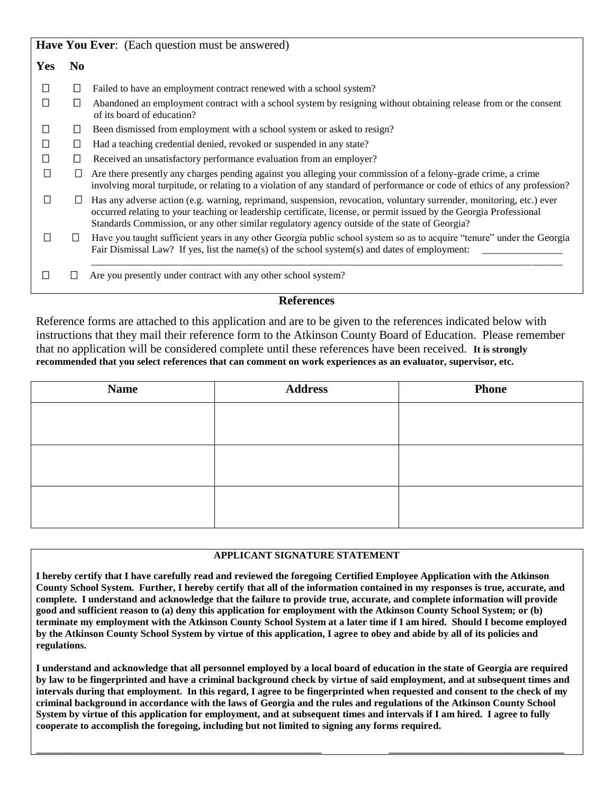|            |                | Have You Ever: (Each question must be answered)                                                                                                                                                                                                                                                                                              |
|------------|----------------|----------------------------------------------------------------------------------------------------------------------------------------------------------------------------------------------------------------------------------------------------------------------------------------------------------------------------------------------|
| <b>Yes</b> | N <sub>0</sub> |                                                                                                                                                                                                                                                                                                                                              |
| $\Box$     | Ш              | Failed to have an employment contract renewed with a school system?                                                                                                                                                                                                                                                                          |
|            | $\Box$         | Abandoned an employment contract with a school system by resigning without obtaining release from or the consent<br>of its board of education?                                                                                                                                                                                               |
| $\perp$    | $\Box$         | Been dismissed from employment with a school system or asked to resign?                                                                                                                                                                                                                                                                      |
|            | $\Box$         | Had a teaching credential denied, revoked or suspended in any state?                                                                                                                                                                                                                                                                         |
|            | ⊔              | Received an unsatisfactory performance evaluation from an employer?                                                                                                                                                                                                                                                                          |
|            | $\Box$         | Are there presently any charges pending against you alleging your commission of a felony-grade crime, a crime<br>involving moral turpitude, or relating to a violation of any standard of performance or code of ethics of any profession?                                                                                                   |
|            |                | Has any adverse action (e.g. warning, reprimand, suspension, revocation, voluntary surrender, monitoring, etc.) ever<br>occurred relating to your teaching or leadership certificate, license, or permit issued by the Georgia Professional<br>Standards Commission, or any other similar regulatory agency outside of the state of Georgia? |
|            | $\Box$         | Have you taught sufficient years in any other Georgia public school system so as to acquire "tenure" under the Georgia<br>Fair Dismissal Law? If yes, list the name(s) of the school system(s) and dates of employment:                                                                                                                      |
|            |                | Are you presently under contract with any other school system?                                                                                                                                                                                                                                                                               |

### **References**

Reference forms are attached to this application and are to be given to the references indicated below with instructions that they mail their reference form to the Atkinson County Board of Education. Please remember that no application will be considered complete until these references have been received. **It is strongly recommended that you select references that can comment on work experiences as an evaluator, supervisor, etc.**

| <b>Name</b> | <b>Address</b> | <b>Phone</b> |
|-------------|----------------|--------------|
|             |                |              |
|             |                |              |
|             |                |              |
|             |                |              |
|             |                |              |
|             |                |              |

#### **APPLICANT SIGNATURE STATEMENT**

**I hereby certify that I have carefully read and reviewed the foregoing Certified Employee Application with the Atkinson County School System. Further, I hereby certify that all of the information contained in my responses is true, accurate, and complete. I understand and acknowledge that the failure to provide true, accurate, and complete information will provide good and sufficient reason to (a) deny this application for employment with the Atkinson County School System; or (b) terminate my employment with the Atkinson County School System at a later time if I am hired. Should I become employed by the Atkinson County School System by virtue of this application, I agree to obey and abide by all of its policies and regulations.**

**I understand and acknowledge that all personnel employed by a local board of education in the state of Georgia are required by law to be fingerprinted and have a criminal background check by virtue of said employment, and at subsequent times and intervals during that employment. In this regard, I agree to be fingerprinted when requested and consent to the check of my criminal background in accordance with the laws of Georgia and the rules and regulations of the Atkinson County School System by virtue of this application for employment, and at subsequent times and intervals if I am hired. I agree to fully cooperate to accomplish the foregoing, including but not limited to signing any forms required.**

**\_\_\_\_\_\_\_\_\_\_\_\_\_\_\_\_\_\_\_\_\_\_\_\_\_\_\_\_\_\_\_\_\_\_\_\_\_\_\_\_\_\_\_\_\_\_\_\_\_\_\_\_\_\_\_\_\_ \_\_\_\_\_\_\_\_\_\_\_\_\_\_\_\_\_\_\_\_\_\_\_\_\_\_\_\_\_\_\_\_\_\_\_**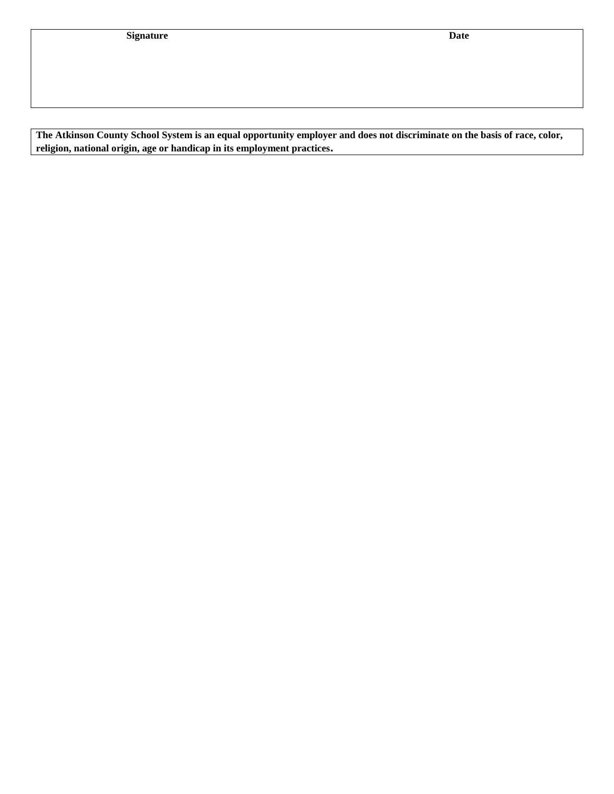**The Atkinson County School System is an equal opportunity employer and does not discriminate on the basis of race, color, religion, national origin, age or handicap in its employment practices.**